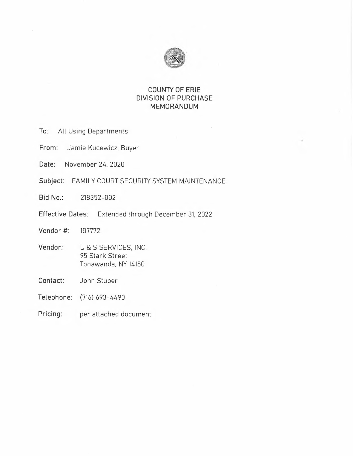

# **COUNTY OF ERIE DIVISION OF PURCHASE MEMORANDUM**

- **To:** All Using Departments
- **From:** Jamie Kucewicz, Buyer
- **Date:** November 24, 2020
- **Subject:** FAMILY COURT SECURITY SYSTEM MAINTENANCE
- **Bid No.:** 218352-002
- **Effective Dates:** Extended through December 31. 2022

**Vendor** #: 107772

- **Vendor:** U & S SERVICES, INC. 95 Stark Street Tonawanda, NY 14150
- **Contact:**  John Stuber
- **Telephone:** (716) 693-4490
- **Pricing:**  per attached document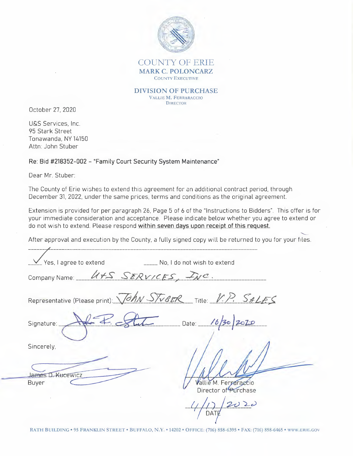

# COUNTY OF ERIE **MARK C. POLONCARZ**  COUNTY EXECUTIVE

**DIVISION OF PURCHASE**  VALLIE **M.** FERRARACCIO **DIRECTOR** 

October 27, 2020

U&S Services, Inc. 95 Stark Street Tonawanda, NY 14150 Attn: John Stuber

## **Re: Bid #218352-002 - "Family Court Security System Maintenance"**

Dear Mr. Stuber:

The County of Erie wishes to extend this agreement for an additional contract period, through December 31, 2022, under the same prices, terms and conditions as the original agreement.

Extension is provided for per paragraph 26, Page 5 of 6 of the "Instructions to Bidders". This offer is for your immediate consideration and acceptance. Please indicate below whether you agree to extend or do not wish to extend. Please respond **within seven days upon receipt of this request.** 

After approval and execution by the County, a fully signed copy will be returned to you for your files.

Yes, I agree to extend \_\_\_\_\_ No, I do not wish to extend U+S SERVICES, INC. Company Name: Representative (Please print):  $\sqrt{\partial h}N$  *STVBER*, Title: *V.P. SALES* Date:  $\overline{\phantom{a}}$ Signature: Sincerely, James D. Kucewicz allie M. Ferraraccio Buyer Director of Purchase<br>  $\sqrt{2}$  $\frac{1}{\sqrt{2}}$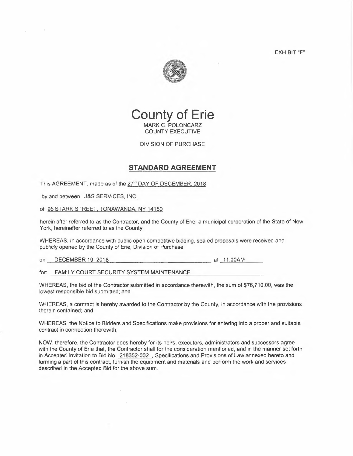EXHIBIT "F"





#### DIVISION OF PURCHASE

## **STANDARD AGREEMENT**

This AGREEMENT, made as of the 27<sup>th</sup> DAY OF DECEMBER, 2018

by and between U&S SERVICES, INC.

of 95 STARK STREET, TONAWANDA, NY 14150

herein after referred to as the Contractor, and the County of Erie, a municipal corporation of the State of New York, hereinafter referred to as the County:

WHEREAS, in accordance with public open competitive bidding, sealed proposals were received and publicly opened by the County of Erie, Division of Purchase

on DECEMBER 19, 2018 at 11:00AM

for: FAMILY COURT SECURITY SYSTEM MAINTENANCE

WHEREAS, the bid of the Contractor submitted in accordance therewith, the sum of \$76,710.00, was the lowest responsible bid submitted; and

WHEREAS, a contract is hereby awarded to the Contractor by the County, in accordance with the provisions therein contained; and

WHEREAS, the Notice to Bidders and Specifications make provisions for entering into a proper and suitable contract in connection therewith;

NOW, therefore, the Contractor does hereby for its heirs, executors, administrators and successors agree with the County of Erie that, the Contractor shall for the consideration mentioned, and in the manner set forth in Accepted Invitation to Bid No. 218352-002 , Specifications and Provisions of Law annexed hereto and forming a part of this contract. furnish the equipment and materials and perform the work and services described in the Accepted Bid for the above sum.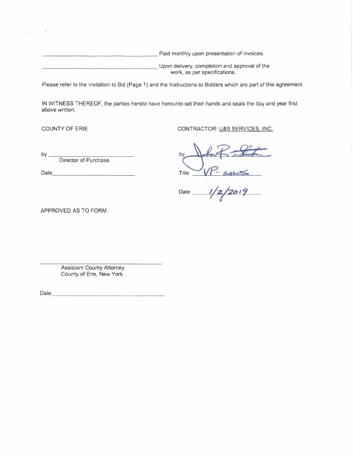paid monthly upon presentation of invoices. Upon delivery, completion and approval of the work, as per specifications.

Please refer to the Invitation to Bid (Page 1) and the Instructions to Bidders which are part of this agreement.

IN WITNESS THEREOF, the parties hereto have hereunto set their hands and seals the day and year first above written.

COUNTY OF ERIE CONTRACTOR: U&S SERVICES, INC.

by  $\overline{\phantom{a}}$ Director of Purchase

Date and the second part of the second second second second second second second second second second second second second second second second second second second second second second second second second second second s

CONTRACTOR: <u>USS SERVICES, INC.</u><br>by John Free Bluten by John 5, Ellebra<br>Title VP- sales

APPROVED AS TO FORM

Assistant County Attorney County of Erie, New York

Date \_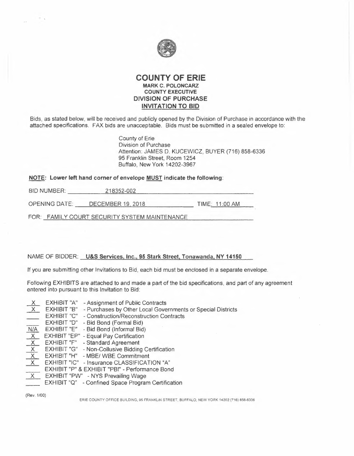

## **COUNTY OF ERIE MARK C. POLONCARZ COUNTY EXECUTIVE DIVISION OF PURCHASE INVITATION TO BID**

Bids, as stated below, will be received and publicly opened by the Division of Purchase in accordance with the attached specifications. FAX bids are unacceptable. Bids must be submitted in a sealed envelope to:

> County of Erie Division of Purchase Attention: JAMES D. KUCEWICZ, BUYER (716) 858-6336 95 Franklin Street, Room 1254 Buffalo, New York 14202-3967

#### **NOTE: Lower left hand corner of envelope MUST indicate the following:**

| BID NUMBER:   | 218352-002               |                |
|---------------|--------------------------|----------------|
| OPENING DATE: | <b>DECEMBER 19, 2018</b> | TIME: 11:00 AM |

FOR: FAMILY COURT SECURITY SYSTEM MAINTENANCE

### NAME OF BIDDER: **U&S Services, Inc., 95 Stark Street, Tonawanda, NY 14150**

If you are submitting other Invitations to Bid, each bid must be enclosed in a separate envelope.

Following EXHIBITS are attached to and made a part of the bid specifications, and part of any agreement entered into pursuant to this Invitation to Bid:

- EXHIBIT "A" Assignment of Public Contracts
- $\chi$ EXHIBIT "B" - Purchases by Other Local Governments or Special Districts
- EXHIBIT "C" Construction/Reconstruction Contracts
- EXHIBIT "D" Bid Bond (Formal Bid)
- EXHIBIT "E" Bid Bond (Informal Bid)  $N/A$
- EXHIBIT "EP" Equal Pay Certification
- EXHIBIT "F" Standard Agreement
- EXHIBIT "G" Non-Collusive Bidding Certification  $\mathsf{X}$
- $\overline{X}$ EXHIBIT "H" - MBE/ WBE Commitment
- EXHIBIT "IC" Insurance CLASSIFICATION "A"
- EXHIBIT "P" & EXHIBIT "PSI" Performance Bond
- EXHIBIT "PW" NYS Prevailing Wage
- EXHIBIT "Q" Confined Space Program Certification

(Rev. 1/00)

 $\sim$  .

ERIE COUNTY OFFICE BUILDING, 95 FRANKLIN STREET, BUFFALO, NEW YORK 14202 (716) 858-6336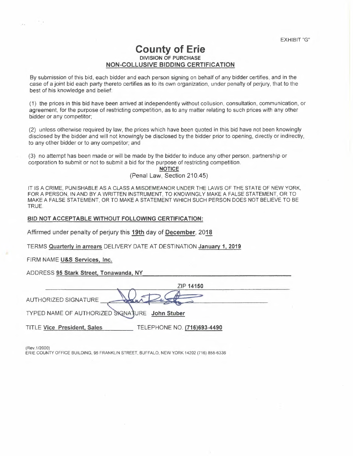# **County of Erie DIVISION OF PURCHASE NON-COLLUSIVE BIDDING CERTIFICATION**

By submission of this bid, each bidder and each person signing on behalf of any bidder certifies, and in the case of a joint bid each party thereto certifies as to its own organization, under penalty of perjury, that to the best of his knowledge and belief:

(1) the prices in this bid have been arrived at independently without collusion, consultation, communication, or agreement, for the purpose of restricting competition, as to any matter relating to such prices with any other bidder or any competitor;

(2) unless otherwise required by law, the prices which have been quoted in this bid have not been knowingly disclosed by the bidder and will not knowingly be disclosed by the bidder prior to opening, directly or indirectly, to any other bidder or to any competitor; and

(3) no attempt has been made or will be made by the bidder to induce any other person, partnership or corporation to submit or not to submit a bid for the purpose of restricting competition.

**NOTICE** 

(Penal Law, Section 210.45)

IT IS A CRIME, PUNISHABLE AS A CLASS A MISDEMEANOR UNDER THE LAWS OF THE STATE OF NEW YORK, FOR A PERSON, IN AND BY A WRITTEN INSTRUMENT, TO KNOWINGLY MAKE A FALSE STATEMENT, OR TO MAKE A FALSE STATEMENT, OR TO MAKE A STATEMENT WHICH SUCH PERSON DOES NOT BELIEVE TO BE TRUE.

#### **BID NOT ACCEPTABLE WITHOUT FOLLOWING CERTIFICATION:**

Affirmed under penalty of perjury this **19th** day of **December, 2018** 

TERMS **Quarterly in arrears** DELIVERY DATE AT DESTINATION **January 1, 2019** 

FIRM NAME **U&S Services, Inc.** 

ADDRESS **95 Stark Street, Tonawanda, NY** 

|                                                | ZIP 14150                   |
|------------------------------------------------|-----------------------------|
| AUTHORIZED SIGNATURE                           |                             |
| TYPED NAME OF AUTHORIZED SIGNATURE John Stuber |                             |
| <b>TITLE Vice President, Sales</b>             | TELEPHONE NO. (716)693-4490 |

(Rev.1/2000)

ERIE COUNTY OFFICE BUILDING, 95 FRANKLIN STREET, BUFFALO, NEW YORK 14202 (716) 858-6336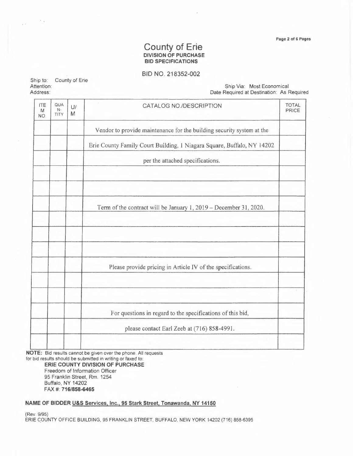# County of Erie **DIVISION OF PURCHASE BID SPECIFICATIONS**

BID NO. 218352-002

Ship to: County of Erie Attention: Address:

 $\mathcal{F}_{\mathcal{A}}$ 

 $\bar{\epsilon}$  .

Ship Via: Most Economical Date Required at Destination: As Required

| <b>ITE</b><br>M<br>NO. | QUA<br>CATALOG NO./DESCRIPTION<br>U<br>$N-$<br>M<br>TITY |  | <b>TOTAL</b><br>PRICE                                                  |  |
|------------------------|----------------------------------------------------------|--|------------------------------------------------------------------------|--|
|                        | $\epsilon$                                               |  | Vendor to provide maintenance for the building security system at the  |  |
|                        |                                                          |  | Erie County Family Court Building, 1 Niagara Square, Buffalo, NY 14202 |  |
|                        |                                                          |  | per the attached specifications.                                       |  |
|                        |                                                          |  |                                                                        |  |
|                        |                                                          |  | Term of the contract will be January 1, 2019 - December 31, 2020.      |  |
|                        |                                                          |  |                                                                        |  |
|                        |                                                          |  | Please provide pricing in Article IV of the specifications.            |  |
|                        |                                                          |  |                                                                        |  |
|                        |                                                          |  | For questions in regard to the specifications of this bid,             |  |
|                        |                                                          |  | please contact Earl Zeeb at (716) 858-4991.                            |  |
|                        |                                                          |  |                                                                        |  |

**NOTE:** Bid results cannot be given over the phone. All requests

for bid results should be submitted in writing or faxed to: **ERIE COUNTY DIVISION OF PURCHASE**  Freedom of Information Officer 95 Franklin Street, Rm. 1254 Buffalo, **NY** 14202 FAX#: **716/858-6465** 

#### **NAME OF BIDDER U&S Services, Inc., 95 Stark Street, Tonawanda, NY 14150**

(Rev. 9/95) ERIE COUNTY OFFICE BUILDING, 95 FRANKLIN STREET, BUFFALO, NEW YORK 14202 (716) 858-6395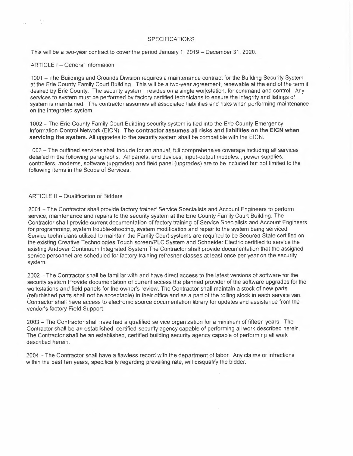### SPECIFICATIONS

This will be a two-year contract to cover the period January 1, 2019 - December 31, 2020.

### ARTICLE I - General Information

 $\mathcal{I}^{\mathcal{I}}$  .

1001 - The Buildings and Grounds Division requires a maintenance contract for the Building Security System at the Erie County Family Court Building. This will be a two-year agreement, renewable at the end of the term if desired by Erie County. The security system resides on a single workstation, for command and control. Any services to system must be performed by factory certified technicians to ensure the integrity and listings of system is maintained. The contractor assumes all associated liabilities and risks when performing maintenance on the integrated system.

1002 - The Erie County Family Court Building security system is tied into the Erie County Emergency Information Control Network (EICN). **The contractor assumes all risks and liabilities on the EICN when servicing the system.** All upgrades to the security system shall be compatible with the EICN.

1003 - The outlined services shall include for an annual, full comprehensive coverage including all services detailed in the following paragraphs. All panels, end devices, input-output modules, , power supplies, controllers, modems, software (upgrades) and field panel (upgrades) are to be included but not limited to the following items in the Scope of Services.

#### ARTICLE II - Qualification of Bidders

2001 - The Contractor shall provide factory trained Service Specialists and Account Engineers to perform service, maintenance and repairs to the security system at the Erie County Family Court Building. The Contractor shall provide current documentation of factory training of Service Specialists and Account Engineers for programming, system trouble-shooting, system modification and repair to the system being serviced. Service technicians utilized to maintain the Family Court systems are required to be Secured State certified on the existing Creative Technologies Touch screen/PLC System and Schneider Electric certified to service the existing Andover Continuum Integrated System The Contractor shall provide documentation that the assigned service personnel are scheduled for factory training refresher classes at least once per year on the security system.

2002 - The Contractor shall be familiar with and have direct access to the latest versions of software for the security system Provide documentation of current access the planned provider of the software upgrades for the workstations and field panels for the owner's review. The Contractor shall maintain a stock of new parts (refurbished parts shall not be acceptable) in their office and as a part of the rolling stock in each service van. Contractor shall have access to electronic source documentation library for updates and assistance from the vendor's factory Field Support.

2003 - The Contractor shall have had a qualified service organization for a minimum of fifteen years. The Contractor shall be an established, certified security agency capable of performing all work described herein. The Contractor shall be an established, certified building security agency capable of performing all work described herein.

2004 - The Contractor shall have a flawless record with the department of labor. Any claims or infractions within the past ten years, specifically regarding prevailing rate, will disqualify the bidder.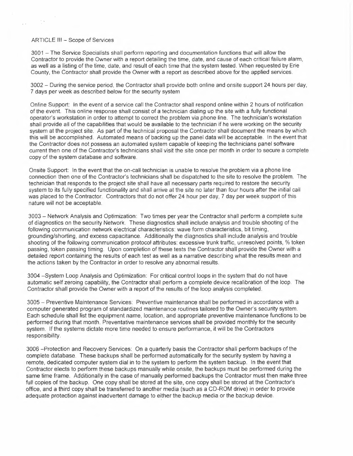#### ARTICLE III - Scope of Services

in the

 $\sim$ 

3001 - The Service Specialists shall perform reporting and documentation functions that will allow the Contractor to provide the Owner with a report detailing the time, date, and cause of each critical failure alarm, as well as a listing of the time, date, and result of each time that the system tested. When requested by Erie County, the Contractor shall provide the Owner with a report as described above for the applied services.

3002 - During the service period, the Contractor shall provide both online and onsite support 24 hours per day, 7 days per week as described below for the security system

Online Support: In the event of a service call the Contractor shall respond online within 2 hours of notification of the event. This online response shall consist of a technician dialing up the site with a fully functional operator's workstation in order to attempt to correct the problem via phone line. The technician's workstation shall provide all of the capabilities that would be available to the technician if he were working on the security system at the project site. As part of the technical proposal the Contractor shall document the means by which this will be accomplished. Automated means of backing up the panel data will be acceptable. In the event that the Contractor does not possess an automated system capable of keeping the technicians panel software current then one of the Contractor's technicians shall visit the site once per month in order to secure a complete copy of the system database and software.

Onsite Support: In the event that the on-call technician is unable to resolve the problem via a phone line connection then one of the Contractor's technicians shall be dispatched to the site to resolve the problem. The technician that responds to the project site shall have all necessary parts required to restore the security system to its fully specified functionality and shall arrive at the site no later than four hours after the initial call was placed to the Contractor. Contractors that do not offer 24 hour per day, 7 day per week support of this nature will not be acceptable.

3003 - Network Analysis and Optimization: Two times per year the Contractor shall perform a complete suite of diagnostics on the security Network. These diagnostics shall include analysis and trouble shooting of the following communication network electrical characteristics: wave form characteristics, bit timing, grounding/shorting, and excess capacitance. Additionally the diagnostics shall include analysis and trouble shooting of the following communication protocol attributes: excessive trunk traffic, unresolved points, % token passing, token passing timing. Upon completion of these tests the Contractor shall provide the Owner with a detailed report containing the results of each test as well as a narrative describing what the results mean and the actions taken by the Contractor in order to resolve any abnormal results.

3004 -System Loop Analysis and Optimization: For critical control loops in the system that do not have automatic self zeroing capability, the Contractor shall perform a complete device recalibration of the loop. The Contractor shall provide the Owner with a report of the results of the loop analysis completed.

3005 - Preventive Maintenance Services: Preventive maintenance shall be performed in accordance with a computer generated program of standardized maintenance routines tailored to the Owner's security system. Each schedule shall list the equipment name, location, and appropriate preventive maintenance functions to be performed during that month. Preventative maintenance services shall be provided monthly for the security system. If the systems dictate more time needed to ensure performance, it will be the Contractors responsibility.

3006 -Protection and Recovery Services: On a quarterly basis the Contractor shall perform backups of the complete database. These backups shall be performed automatically for the security system by having a remote, dedicated computer system dial in to the system to perform the system backup. In the event that Contractor elects to perform these backups manually while onsite, the backups must be performed during the same time frame. Additionally in the case of manually performed backups the Contractor must then make three full copies of the backup. One copy shall be stored at the site, one copy shall be stored at the Contractor's office, and a third copy shall be transferred to another media (such as a CD-ROM drive) in order to provide adequate protection against inadvertent damage to either the backup media or the backup device.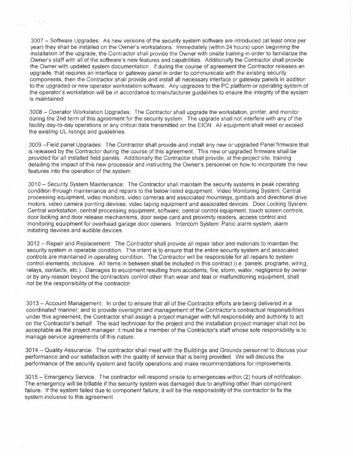3007 - Software Upgrades: As new versions of the security system software are introduced (at least once per year) they shall be installed on the Owner's workstations. Immediately (within 24 hours) upon beginning the installation of the upgrade, the Contractor shall provide the Owner with onsite training in order to familiarize the Owner's staff with all of the software's new features and capabilities. Additionally the Contractor shall provide the Owner with updated system documentation. If during the course of agreement the Contractor releases an upgrade, that requires an interface or gateway panel in order to communicate with the existing security components, then the Contractor shall provide and install all necessary interface or gateway panels in addition to the upgraded or new operator workstation software. Any upgrades to the PC platform or operating system of the operator's workstation will be in accordance to manufacturer guidelines to ensure the integrity of the system is maintained.

, .

 $\frac{1}{2}$  .

3008 - Operator Workstation Upgrades: The Contractor shall upgrade the workstation, printer, and monitor during the 2nd term of this agreement for the security system. The upgrade shall not interfere with any of the facility day-to-day operations or any critical data transmitted on the EICN. All equipment shall meet or exceed the existing UL listings and guidelines.

3009 -Field panel Upgrades: The Contractor shall provide and install any new or upgraded Panel firmware that is released by the Contractor during the course of this agreement. This new or upgraded firmware shall be provided for all installed field panels. Additionally the Contractor shall provide, at the project site, training detailing the impact of this new processor and instructing the Owner's personnel on how to incorporate the new features into the operation of the system...

3010 – Security System Maintenance: The Contractor shall maintain the security systems in peak operating condition through maintenance and repairs to the below listed equipment. Video Monitoring System: Central processing equipment, video monitors, video cameras and associated mountings, gimbals and directional drive motors, video camera pointing devices, video taping equipment and associated devices. Door Locking System: Central workstation, central processing equipment, software, central control equipment, touch screen controls, door locking and door release mechanisms, door swipe card and proximity readers, access control and monitoring equipment for overhead garage door openers. Intercom System: Panic alarm system, alarm initiating devices and audible devices.

3012 - Repair and Replacement: The Contractor shall provide all repair labor and materials to maintain the security system in operable condition. The intent is to ensure that the entire security system and associated controls are maintained in operating condition. The Contractor will be responsible for all repairs to system control elements, inclusive. All items in between shall be included in this contract (i.e. panels, programs, wiring, relays, contacts, etc.). Damages to equipment resulting from accidents, fire, storm, water, negligence by owner or by any reason beyond the contractors control other than wear and tear or malfunctioning equipment, shall not be the responsibility of the contractor.

3013 - Account Management: In order to ensure that all of the Contractor efforts are being delivered in a coordinated manner, and to provide oversight and management of the Contractor's contractual responsibilities under this agreement, the Contractor shall assign a project manager with full responsibility and authority to act on the Contractor's behalf. The lead technician for the project and the installation project manager shall not be acceptable as the project manager; it must be a member of the Contractor's staff whose sole responsibility is to manage service agreements of this nature.

3014 - Quality Assurance. The contractor shall meet with the Buildings and Grounds personnel to discuss your performance and our satisfaction with the quality of service that is being provided. We will discuss the performance of the security system and facility operations and make recommendations for improvements.

3015 - Emergency Service. The contractor will respond onsite to emergencies within (2) hours of notification. The emergency will be billable if the security system was damaged due to anything other than component failure. If the system failed due to component failure, it will be the responsibility of the contractor to fix the system inclusive to this agreement.